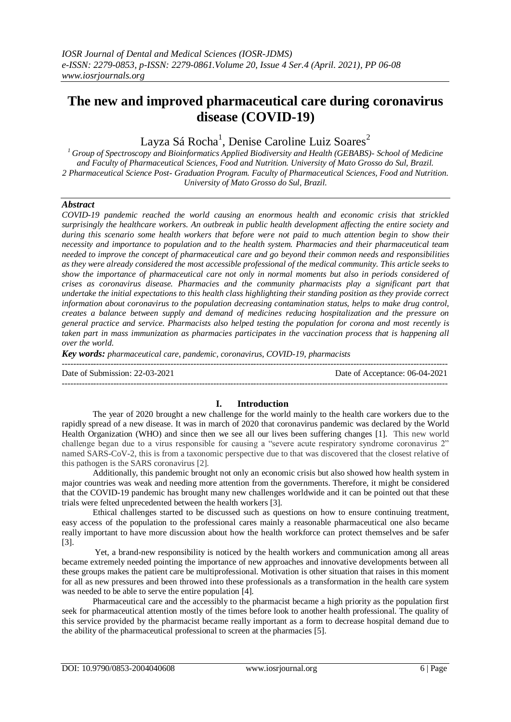# **The new and improved pharmaceutical care during coronavirus disease (COVID-19)**

Layza Sá Rocha<sup>1</sup>, Denise Caroline Luiz Soares<sup>2</sup>

*<sup>1</sup>Group of Spectroscopy and Bioinformatics Applied Biodiversity and Health (GEBABS)- School of Medicine and Faculty of Pharmaceutical Sciences, Food and Nutrition. University of Mato Grosso do Sul, Brazil. 2 Pharmaceutical Science Post- Graduation Program. Faculty of Pharmaceutical Sciences, Food and Nutrition. University of Mato Grosso do Sul, Brazil.*

### *Abstract*

*COVID-19 pandemic reached the world causing an enormous health and economic crisis that strickled surprisingly the healthcare workers. An outbreak in public health development affecting the entire society and during this scenario some health workers that before were not paid to much attention begin to show their necessity and importance to population and to the health system. Pharmacies and their pharmaceutical team needed to improve the concept of pharmaceutical care and go beyond their common needs and responsibilities as they were already considered the most accessible professional of the medical community. This article seeks to show the importance of pharmaceutical care not only in normal moments but also in periods considered of crises as coronavirus disease. Pharmacies and the community pharmacists play a significant part that undertake the initial expectations to this health class highlighting their standing position as they provide correct information about coronavirus to the population decreasing contamination status, helps to make drug control, creates a balance between supply and demand of medicines reducing hospitalization and the pressure on general practice and service. Pharmacists also helped testing the population for corona and most recently is taken part in mass immunization as pharmacies participates in the vaccination process that is happening all over the world.* 

*Key words: pharmaceutical care, pandemic, coronavirus, COVID-19, pharmacists*

--------------------------------------------------------------------------------------------------------------------------------------- Date of Submission: 22-03-2021 Date of Acceptance: 06-04-2021 ---------------------------------------------------------------------------------------------------------------------------------------

## **I. Introduction**

The year of 2020 brought a new challenge for the world mainly to the health care workers due to the rapidly spread of a new disease. It was in march of 2020 that coronavirus pandemic was declared by the World Health Organization (WHO) and since then we see all our lives been suffering changes [1]. This new world challenge began due to a virus responsible for causing a "severe acute respiratory syndrome coronavirus 2" named SARS-CoV-2, this is from a taxonomic perspective due to that was discovered that the closest relative of this pathogen is the SARS coronavirus [2].

Additionally, this pandemic brought not only an economic crisis but also showed how health system in major countries was weak and needing more attention from the governments. Therefore, it might be considered that the COVID-19 pandemic has brought many new challenges worldwide and it can be pointed out that these trials were felted unprecedented between the health workers [3].

Ethical challenges started to be discussed such as questions on how to ensure continuing treatment, easy access of the population to the professional cares mainly a reasonable pharmaceutical one also became really important to have more discussion about how the health workforce can protect themselves and be safer [3].

Yet, a brand-new responsibility is noticed by the health workers and communication among all areas became extremely needed pointing the importance of new approaches and innovative developments between all these groups makes the patient care be multiprofessional. Motivation is other situation that raises in this moment for all as new pressures and been throwed into these professionals as a transformation in the health care system was needed to be able to serve the entire population [4].

Pharmaceutical care and the accessibly to the pharmacist became a high priority as the population first seek for pharmaceutical attention mostly of the times before look to another health professional. The quality of this service provided by the pharmacist became really important as a form to decrease hospital demand due to the ability of the pharmaceutical professional to screen at the pharmacies [5].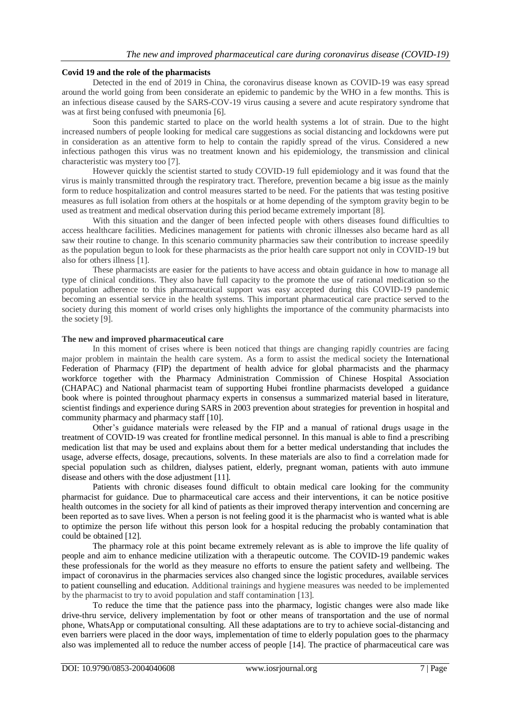#### **Covid 19 and the role of the pharmacists**

Detected in the end of 2019 in China, the coronavirus disease known as COVID-19 was easy spread around the world going from been considerate an epidemic to pandemic by the WHO in a few months. This is an infectious disease caused by the SARS-COV-19 virus causing a severe and acute respiratory syndrome that was at first being confused with pneumonia [6].

Soon this pandemic started to place on the world health systems a lot of strain. Due to the hight increased numbers of people looking for medical care suggestions as social distancing and lockdowns were put in consideration as an attentive form to help to contain the rapidly spread of the virus. Considered a new infectious pathogen this virus was no treatment known and his epidemiology, the transmission and clinical characteristic was mystery too [7].

However quickly the scientist started to study COVID-19 full epidemiology and it was found that the virus is mainly transmitted through the respiratory tract. Therefore, prevention became a big issue as the mainly form to reduce hospitalization and control measures started to be need. For the patients that was testing positive measures as full isolation from others at the hospitals or at home depending of the symptom gravity begin to be used as treatment and medical observation during this period became extremely important [8].

With this situation and the danger of been infected people with others diseases found difficulties to access healthcare facilities. Medicines management for patients with chronic illnesses also became hard as all saw their routine to change. In this scenario community pharmacies saw their contribution to increase speedily as the population begun to look for these pharmacists as the prior health care support not only in COVID-19 but also for others illness [1].

These pharmacists are easier for the patients to have access and obtain guidance in how to manage all type of clinical conditions. They also have full capacity to the promote the use of rational medication so the population adherence to this pharmaceutical support was easy accepted during this COVID-19 pandemic becoming an essential service in the health systems. This important pharmaceutical care practice served to the society during this moment of world crises only highlights the importance of the community pharmacists into the society [9].

#### **The new and improved pharmaceutical care**

In this moment of crises where is been noticed that things are changing rapidly countries are facing major problem in maintain the health care system. As a form to assist the medical society the International Federation of Pharmacy (FIP) the department of health advice for global pharmacists and the pharmacy workforce together with the Pharmacy Administration Commission of Chinese Hospital Association (CHAPAC) and National pharmacist team of supporting Hubei frontline pharmacists developed a guidance book where is pointed throughout pharmacy experts in consensus a summarized material based in literature, scientist findings and experience during SARS in 2003 prevention about strategies for prevention in hospital and community pharmacy and pharmacy staff [10].

Other's guidance materials were released by the FIP and a manual of rational drugs usage in the treatment of COVID-19 was created for frontline medical personnel. In this manual is able to find a prescribing medication list that may be used and explains about them for a better medical understanding that includes the usage, adverse effects, dosage, precautions, solvents. In these materials are also to find a correlation made for special population such as children, dialyses patient, elderly, pregnant woman, patients with auto immune disease and others with the dose adjustment [11].

Patients with chronic diseases found difficult to obtain medical care looking for the community pharmacist for guidance. Due to pharmaceutical care access and their interventions, it can be notice positive health outcomes in the society for all kind of patients as their improved therapy intervention and concerning are been reported as to save lives. When a person is not feeling good it is the pharmacist who is wanted what is able to optimize the person life without this person look for a hospital reducing the probably contamination that could be obtained [12].

The pharmacy role at this point became extremely relevant as is able to improve the life quality of people and aim to enhance medicine utilization with a therapeutic outcome. The COVID-19 pandemic wakes these professionals for the world as they measure no efforts to ensure the patient safety and wellbeing. The impact of coronavirus in the pharmacies services also changed since the logistic procedures, available services to patient counselling and education. Additional trainings and hygiene measures was needed to be implemented by the pharmacist to try to avoid population and staff contamination [13].

To reduce the time that the patience pass into the pharmacy, logistic changes were also made like drive-thru service, delivery implementation by foot or other means of transportation and the use of normal phone, WhatsApp or computational consulting. All these adaptations are to try to achieve social-distancing and even barriers were placed in the door ways, implementation of time to elderly population goes to the pharmacy also was implemented all to reduce the number access of people [14]. The practice of pharmaceutical care was